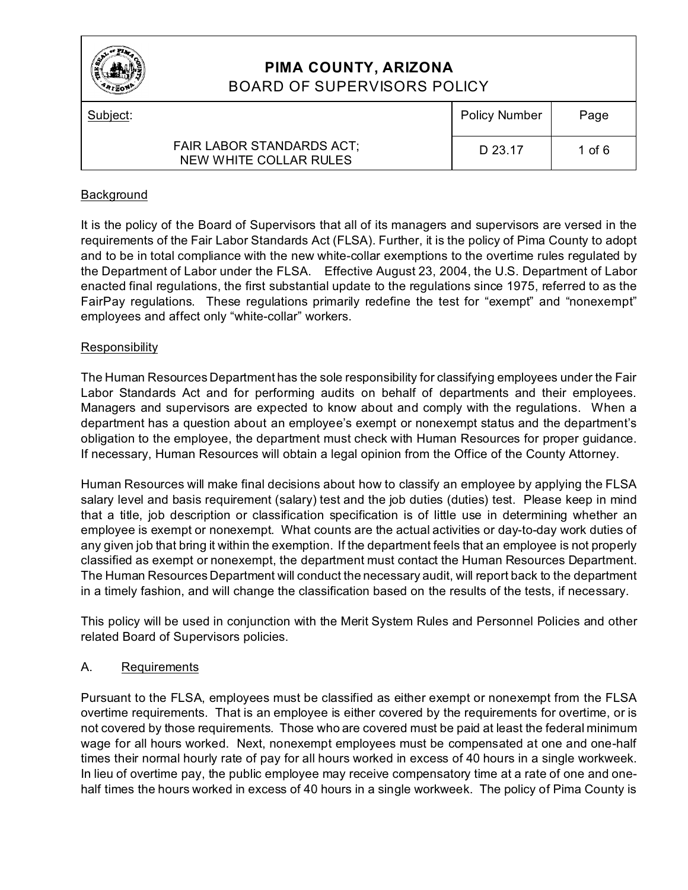

# **PIMA COUNTY, ARIZONA** BOARD OF SUPERVISORS POLICY

| Subject: |                                                            | <b>Policy Number</b> | Page     |
|----------|------------------------------------------------------------|----------------------|----------|
|          | <b>FAIR LABOR STANDARDS ACT:</b><br>NEW WHITE COLLAR RULES | D 23.17              | 1 of $6$ |

## **Background**

It is the policy of the Board of Supervisors that all of its managers and supervisors are versed in the requirements of the Fair Labor Standards Act (FLSA). Further, it is the policy of Pima County to adopt and to be in total compliance with the new white-collar exemptions to the overtime rules regulated by the Department of Labor under the FLSA. Effective August 23, 2004, the U.S. Department of Labor enacted final regulations, the first substantial update to the regulations since 1975, referred to as the FairPay regulations. These regulations primarily redefine the test for "exempt" and "nonexempt" employees and affect only "white-collar" workers.

### **Responsibility**

The Human Resources Department has the sole responsibility for classifying employees under the Fair Labor Standards Act and for performing audits on behalf of departments and their employees. Managers and supervisors are expected to know about and comply with the regulations. When a department has a question about an employee's exempt or nonexempt status and the department's obligation to the employee, the department must check with Human Resources for proper guidance. If necessary, Human Resources will obtain a legal opinion from the Office of the County Attorney.

Human Resources will make final decisions about how to classify an employee by applying the FLSA salary level and basis requirement (salary) test and the job duties (duties) test. Please keep in mind that a title, job description or classification specification is of little use in determining whether an employee is exempt or nonexempt. What counts are the actual activities or day-to-day work duties of any given job that bring it within the exemption. If the department feels that an employee is not properly classified as exempt or nonexempt, the department must contact the Human Resources Department. The Human Resources Department will conduct the necessary audit, will report back to the department in a timely fashion, and will change the classification based on the results of the tests, if necessary.

This policy will be used in conjunction with the Merit System Rules and Personnel Policies and other related Board of Supervisors policies.

### A. Requirements

Pursuant to the FLSA, employees must be classified as either exempt or nonexempt from the FLSA overtime requirements. That is an employee is either covered by the requirements for overtime, or is not covered by those requirements. Those who are covered must be paid at least the federal minimum wage for all hours worked. Next, nonexempt employees must be compensated at one and one-half times their normal hourly rate of pay for all hours worked in excess of 40 hours in a single workweek. In lieu of overtime pay, the public employee may receive compensatory time at a rate of one and onehalf times the hours worked in excess of 40 hours in a single workweek. The policy of Pima County is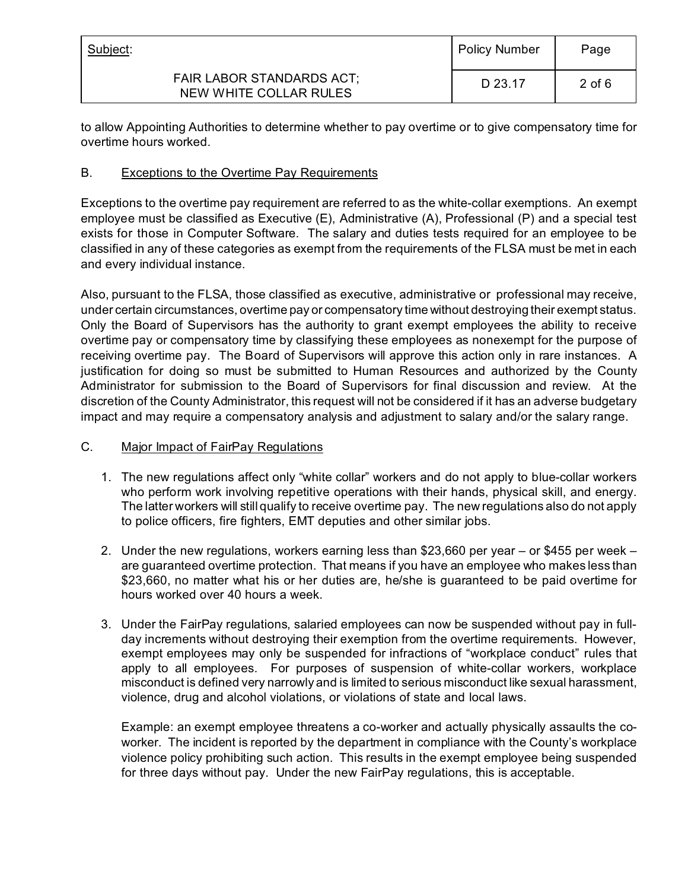| Subject:                                                   | <b>Policy Number</b> | Page     |
|------------------------------------------------------------|----------------------|----------|
| <b>FAIR LABOR STANDARDS ACT:</b><br>NEW WHITE COLLAR RULES | D 23.17              | $2$ of 6 |

to allow Appointing Authorities to determine whether to pay overtime or to give compensatory time for overtime hours worked.

### B. Exceptions to the Overtime Pay Requirements

Exceptions to the overtime pay requirement are referred to as the white-collar exemptions. An exempt employee must be classified as Executive (E), Administrative (A), Professional (P) and a special test exists for those in Computer Software. The salary and duties tests required for an employee to be classified in any of these categories as exempt from the requirements of the FLSA must be met in each and every individual instance.

Also, pursuant to the FLSA, those classified as executive, administrative or professional may receive, under certain circumstances, overtime pay or compensatory time without destroying their exempt status. Only the Board of Supervisors has the authority to grant exempt employees the ability to receive overtime pay or compensatory time by classifying these employees as nonexempt for the purpose of receiving overtime pay. The Board of Supervisors will approve this action only in rare instances. A justification for doing so must be submitted to Human Resources and authorized by the County Administrator for submission to the Board of Supervisors for final discussion and review. At the discretion of the County Administrator, this request will not be considered if it has an adverse budgetary impact and may require a compensatory analysis and adjustment to salary and/or the salary range.

### C. Major Impact of FairPay Regulations

- 1. The new regulations affect only "white collar" workers and do not apply to blue-collar workers who perform work involving repetitive operations with their hands, physical skill, and energy. The latter workers will still qualify to receive overtime pay. The new regulations also do not apply to police officers, fire fighters, EMT deputies and other similar jobs.
- 2. Under the new regulations, workers earning less than \$23,660 per year or \$455 per week are guaranteed overtime protection. That means if you have an employee who makes less than \$23,660, no matter what his or her duties are, he/she is guaranteed to be paid overtime for hours worked over 40 hours a week.
- 3. Under the FairPay regulations, salaried employees can now be suspended without pay in fullday increments without destroying their exemption from the overtime requirements. However, exempt employees may only be suspended for infractions of "workplace conduct" rules that apply to all employees. For purposes of suspension of white-collar workers, workplace misconduct is defined very narrowly and is limited to serious misconduct like sexual harassment, violence, drug and alcohol violations, or violations of state and local laws.

Example: an exempt employee threatens a co-worker and actually physically assaults the coworker. The incident is reported by the department in compliance with the County's workplace violence policy prohibiting such action. This results in the exempt employee being suspended for three days without pay. Under the new FairPay regulations, this is acceptable.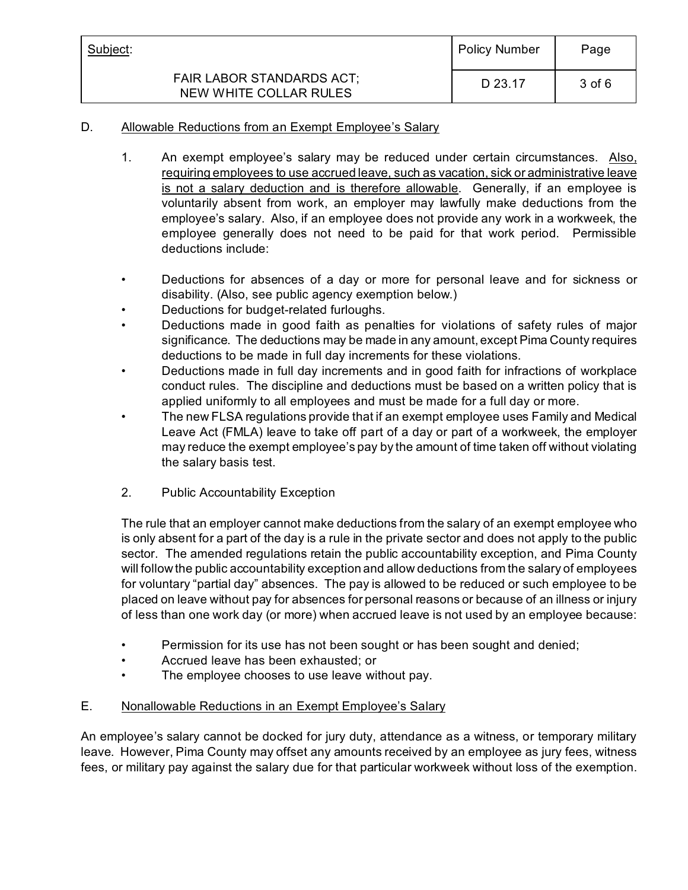| Subject:                                                   | <b>Policy Number</b> | Page   |
|------------------------------------------------------------|----------------------|--------|
| <b>FAIR LABOR STANDARDS ACT:</b><br>NEW WHITE COLLAR RULES | D 23.17              | 3 of 6 |

### D. Allowable Reductions from an Exempt Employee's Salary

- 1. An exempt employee's salary may be reduced under certain circumstances. Also, requiring employees to use accrued leave, such as vacation, sick or administrative leave is not a salary deduction and is therefore allowable. Generally, if an employee is voluntarily absent from work, an employer may lawfully make deductions from the employee's salary. Also, if an employee does not provide any work in a workweek, the employee generally does not need to be paid for that work period. Permissible deductions include:
- Deductions for absences of a day or more for personal leave and for sickness or disability. (Also, see public agency exemption below.)
- Deductions for budget-related furloughs.
- Deductions made in good faith as penalties for violations of safety rules of major significance. The deductions may be made in any amount, except Pima County requires deductions to be made in full day increments for these violations.
- Deductions made in full day increments and in good faith for infractions of workplace conduct rules. The discipline and deductions must be based on a written policy that is applied uniformly to all employees and must be made for a full day or more.
- The new FLSA regulations provide that if an exempt employee uses Family and Medical Leave Act (FMLA) leave to take off part of a day or part of a workweek, the employer may reduce the exempt employee's pay by the amount of time taken off without violating the salary basis test.
- 2. Public Accountability Exception

The rule that an employer cannot make deductions from the salary of an exempt employee who is only absent for a part of the day is a rule in the private sector and does not apply to the public sector. The amended regulations retain the public accountability exception, and Pima County will follow the public accountability exception and allow deductions from the salary of employees for voluntary "partial day" absences. The pay is allowed to be reduced or such employee to be placed on leave without pay for absences for personal reasons or because of an illness or injury of less than one work day (or more) when accrued leave is not used by an employee because:

- Permission for its use has not been sought or has been sought and denied;
- Accrued leave has been exhausted; or
- The employee chooses to use leave without pay.
- E. Nonallowable Reductions in an Exempt Employee's Salary

An employee's salary cannot be docked for jury duty, attendance as a witness, or temporary military leave. However, Pima County may offset any amounts received by an employee as jury fees, witness fees, or military pay against the salary due for that particular workweek without loss of the exemption.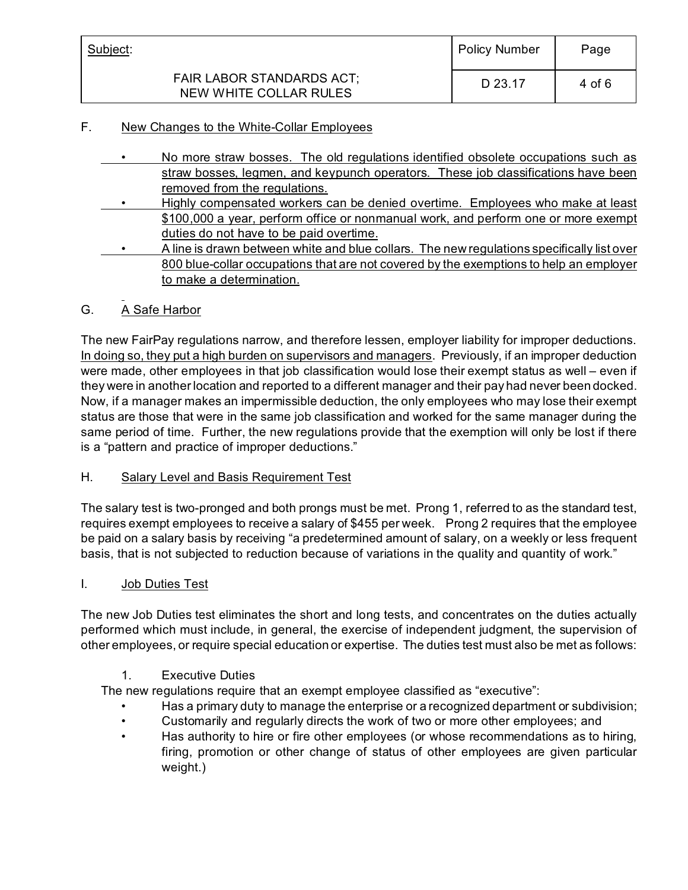| Subject:                                                   | <b>Policy Number</b> | Page   |
|------------------------------------------------------------|----------------------|--------|
| <b>FAIR LABOR STANDARDS ACT:</b><br>NEW WHITE COLLAR RULES | D 23.17              | 4 of 6 |

## F. New Changes to the White-Collar Employees

- No more straw bosses. The old regulations identified obsolete occupations such as straw bosses, legmen, and keypunch operators. These job classifications have been removed from the regulations.
- Highly compensated workers can be denied overtime. Employees who make at least \$100,000 a year, perform office or nonmanual work, and perform one or more exempt duties do not have to be paid overtime.
- A line is drawn between white and blue collars. The new regulations specifically list over 800 blue-collar occupations that are not covered by the exemptions to help an employer to make a determination.

### G. A Safe Harbor

The new FairPay regulations narrow, and therefore lessen, employer liability for improper deductions. In doing so, they put a high burden on supervisors and managers. Previously, if an improper deduction were made, other employees in that job classification would lose their exempt status as well – even if they were in another location and reported to a different manager and their pay had never been docked. Now, if a manager makes an impermissible deduction, the only employees who may lose their exempt status are those that were in the same job classification and worked for the same manager during the same period of time. Further, the new regulations provide that the exemption will only be lost if there is a "pattern and practice of improper deductions."

### H. Salary Level and Basis Requirement Test

The salary test is two-pronged and both prongs must be met. Prong 1, referred to as the standard test, requires exempt employees to receive a salary of \$455 per week. Prong 2 requires that the employee be paid on a salary basis by receiving "a predetermined amount of salary, on a weekly or less frequent basis, that is not subjected to reduction because of variations in the quality and quantity of work."

### I. Job Duties Test

The new Job Duties test eliminates the short and long tests, and concentrates on the duties actually performed which must include, in general, the exercise of independent judgment, the supervision of other employees, or require special education or expertise. The duties test must also be met as follows:

### 1. Executive Duties

The new regulations require that an exempt employee classified as "executive":

- Has a primary duty to manage the enterprise or a recognized department or subdivision;
- Customarily and regularly directs the work of two or more other employees; and
- Has authority to hire or fire other employees (or whose recommendations as to hiring, firing, promotion or other change of status of other employees are given particular weight.)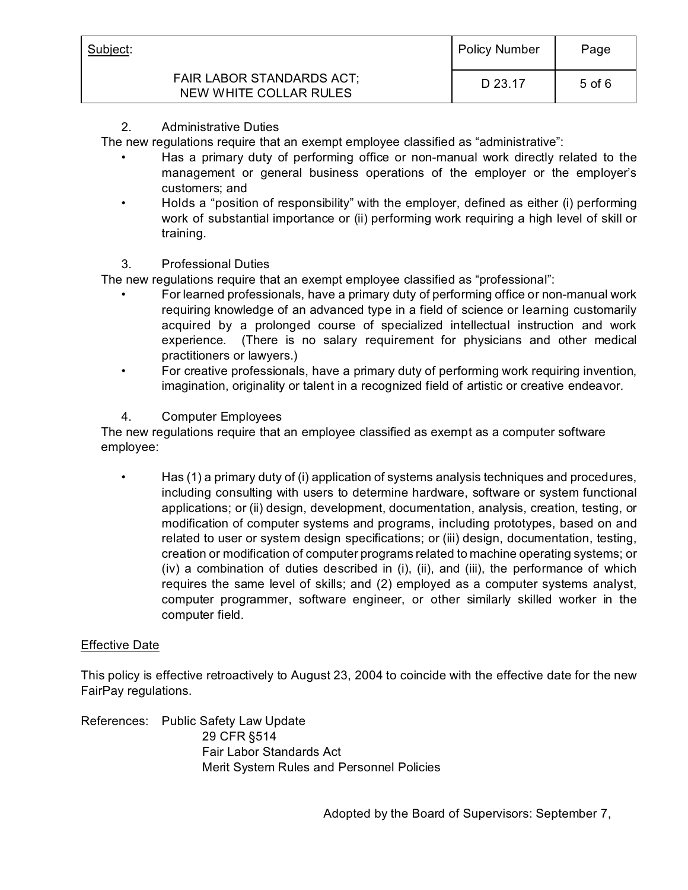| Subject:<br><b>FAIR LABOR STANDARDS ACT;</b><br>NEW WHITE COLLAR RULES | <b>Policy Number</b> | Page       |
|------------------------------------------------------------------------|----------------------|------------|
|                                                                        | D 23.17              | $5$ of $6$ |

2. Administrative Duties

The new regulations require that an exempt employee classified as "administrative":

- Has a primary duty of performing office or non-manual work directly related to the management or general business operations of the employer or the employer's customers; and
- Holds a "position of responsibility" with the employer, defined as either (i) performing work of substantial importance or (ii) performing work requiring a high level of skill or training.
- 3. Professional Duties

The new regulations require that an exempt employee classified as "professional":

- For learned professionals, have a primary duty of performing office or non-manual work requiring knowledge of an advanced type in a field of science or learning customarily acquired by a prolonged course of specialized intellectual instruction and work experience. (There is no salary requirement for physicians and other medical practitioners or lawyers.)
- For creative professionals, have a primary duty of performing work requiring invention, imagination, originality or talent in a recognized field of artistic or creative endeavor.
- 4. Computer Employees

The new regulations require that an employee classified as exempt as a computer software employee:

• Has (1) a primary duty of (i) application of systems analysis techniques and procedures, including consulting with users to determine hardware, software or system functional applications; or (ii) design, development, documentation, analysis, creation, testing, or modification of computer systems and programs, including prototypes, based on and related to user or system design specifications; or (iii) design, documentation, testing, creation or modification of computer programs related to machine operating systems; or (iv) a combination of duties described in (i), (ii), and (iii), the performance of which requires the same level of skills; and (2) employed as a computer systems analyst, computer programmer, software engineer, or other similarly skilled worker in the computer field.

# Effective Date

This policy is effective retroactively to August 23, 2004 to coincide with the effective date for the new FairPay regulations.

References: Public Safety Law Update 29 CFR §514 Fair Labor Standards Act Merit System Rules and Personnel Policies

Adopted by the Board of Supervisors: September 7,